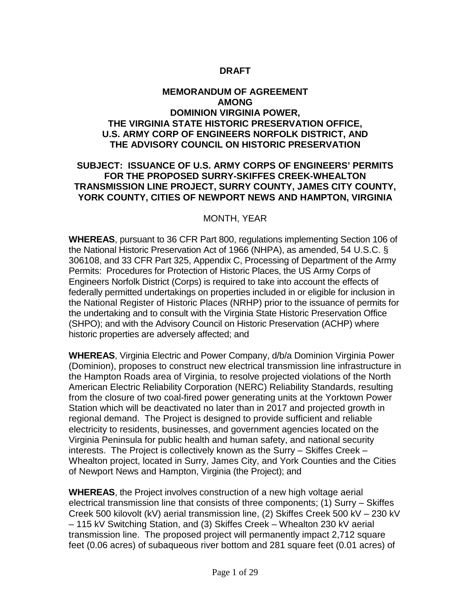### **DRAFT**

#### **MEMORANDUM OF AGREEMENT AMONG DOMINION VIRGINIA POWER, THE VIRGINIA STATE HISTORIC PRESERVATION OFFICE, U.S. ARMY CORP OF ENGINEERS NORFOLK DISTRICT, AND THE ADVISORY COUNCIL ON HISTORIC PRESERVATION**

#### **SUBJECT: ISSUANCE OF U.S. ARMY CORPS OF ENGINEERS' PERMITS FOR THE PROPOSED SURRY-SKIFFES CREEK-WHEALTON TRANSMISSION LINE PROJECT, SURRY COUNTY, JAMES CITY COUNTY, YORK COUNTY, CITIES OF NEWPORT NEWS AND HAMPTON, VIRGINIA**

#### MONTH, YEAR

**WHEREAS**, pursuant to 36 CFR Part 800, regulations implementing Section 106 of the National Historic Preservation Act of 1966 (NHPA), as amended, 54 U.S.C. § 306108, and 33 CFR Part 325, Appendix C, Processing of Department of the Army Permits: Procedures for Protection of Historic Places, the US Army Corps of Engineers Norfolk District (Corps) is required to take into account the effects of federally permitted undertakings on properties included in or eligible for inclusion in the National Register of Historic Places (NRHP) prior to the issuance of permits for the undertaking and to consult with the Virginia State Historic Preservation Office (SHPO); and with the Advisory Council on Historic Preservation (ACHP) where historic properties are adversely affected; and

**WHEREAS**, Virginia Electric and Power Company, d/b/a Dominion Virginia Power (Dominion), proposes to construct new electrical transmission line infrastructure in the Hampton Roads area of Virginia, to resolve projected violations of the North American Electric Reliability Corporation (NERC) Reliability Standards, resulting from the closure of two coal-fired power generating units at the Yorktown Power Station which will be deactivated no later than in 2017 and projected growth in regional demand. The Project is designed to provide sufficient and reliable electricity to residents, businesses, and government agencies located on the Virginia Peninsula for public health and human safety, and national security interests. The Project is collectively known as the Surry – Skiffes Creek – Whealton project, located in Surry, James City, and York Counties and the Cities of Newport News and Hampton, Virginia (the Project); and

**WHEREAS**, the Project involves construction of a new high voltage aerial electrical transmission line that consists of three components; (1) Surry – Skiffes Creek 500 kilovolt (kV) aerial transmission line, (2) Skiffes Creek 500 kV – 230 kV – 115 kV Switching Station, and (3) Skiffes Creek – Whealton 230 kV aerial transmission line. The proposed project will permanently impact 2,712 square feet (0.06 acres) of subaqueous river bottom and 281 square feet (0.01 acres) of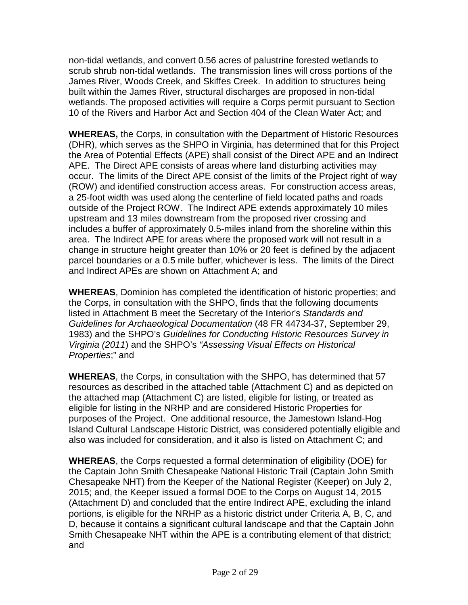non-tidal wetlands, and convert 0.56 acres of palustrine forested wetlands to scrub shrub non-tidal wetlands. The transmission lines will cross portions of the James River, Woods Creek, and Skiffes Creek. In addition to structures being built within the James River, structural discharges are proposed in non-tidal wetlands. The proposed activities will require a Corps permit pursuant to Section 10 of the Rivers and Harbor Act and Section 404 of the Clean Water Act; and

**WHEREAS,** the Corps, in consultation with the Department of Historic Resources (DHR), which serves as the SHPO in Virginia, has determined that for this Project the Area of Potential Effects (APE) shall consist of the Direct APE and an Indirect APE. The Direct APE consists of areas where land disturbing activities may occur. The limits of the Direct APE consist of the limits of the Project right of way (ROW) and identified construction access areas. For construction access areas, a 25-foot width was used along the centerline of field located paths and roads outside of the Project ROW. The Indirect APE extends approximately 10 miles upstream and 13 miles downstream from the proposed river crossing and includes a buffer of approximately 0.5-miles inland from the shoreline within this area. The Indirect APE for areas where the proposed work will not result in a change in structure height greater than 10% or 20 feet is defined by the adjacent parcel boundaries or a 0.5 mile buffer, whichever is less. The limits of the Direct and Indirect APEs are shown on Attachment A; and

**WHEREAS**, Dominion has completed the identification of historic properties; and the Corps, in consultation with the SHPO, finds that the following documents listed in Attachment B meet the Secretary of the Interior's *Standards and Guidelines for Archaeological Documentation* (48 FR 44734-37, September 29, 1983) and the SHPO's *Guidelines for Conducting Historic Resources Survey in Virginia (2011*) and the SHPO's *"Assessing Visual Effects on Historical Properties*;" and

**WHEREAS**, the Corps, in consultation with the SHPO, has determined that 57 resources as described in the attached table (Attachment C) and as depicted on the attached map (Attachment C) are listed, eligible for listing, or treated as eligible for listing in the NRHP and are considered Historic Properties for purposes of the Project. One additional resource, the Jamestown Island-Hog Island Cultural Landscape Historic District, was considered potentially eligible and also was included for consideration, and it also is listed on Attachment C; and

**WHEREAS**, the Corps requested a formal determination of eligibility (DOE) for the Captain John Smith Chesapeake National Historic Trail (Captain John Smith Chesapeake NHT) from the Keeper of the National Register (Keeper) on July 2, 2015; and, the Keeper issued a formal DOE to the Corps on August 14, 2015 (Attachment D) and concluded that the entire Indirect APE, excluding the inland portions, is eligible for the NRHP as a historic district under Criteria A, B, C, and D, because it contains a significant cultural landscape and that the Captain John Smith Chesapeake NHT within the APE is a contributing element of that district; and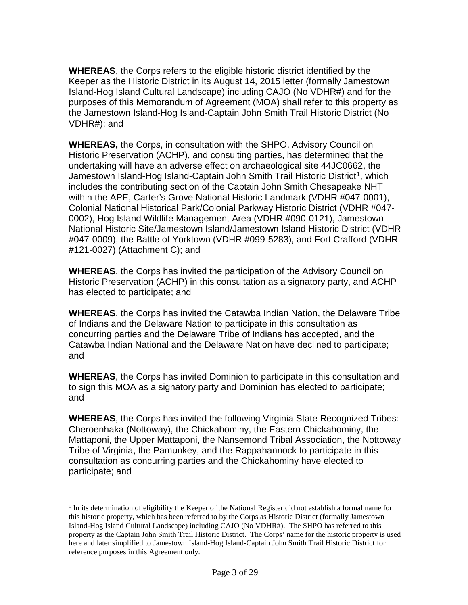**WHEREAS**, the Corps refers to the eligible historic district identified by the Keeper as the Historic District in its August 14, 2015 letter (formally Jamestown Island-Hog Island Cultural Landscape) including CAJO (No VDHR#) and for the purposes of this Memorandum of Agreement (MOA) shall refer to this property as the Jamestown Island-Hog Island-Captain John Smith Trail Historic District (No VDHR#); and

**WHEREAS,** the Corps, in consultation with the SHPO, Advisory Council on Historic Preservation (ACHP), and consulting parties, has determined that the undertaking will have an adverse effect on archaeological site 44JC0662, the Jamestown Island-Hog Island-Captain John Smith Trail Historic District<sup>[1](#page-2-0)</sup>, which includes the contributing section of the Captain John Smith Chesapeake NHT within the APE, Carter's Grove National Historic Landmark (VDHR #047-0001), Colonial National Historical Park/Colonial Parkway Historic District (VDHR #047- 0002), Hog Island Wildlife Management Area (VDHR #090-0121), Jamestown National Historic Site/Jamestown Island/Jamestown Island Historic District (VDHR #047-0009), the Battle of Yorktown (VDHR #099-5283), and Fort Crafford (VDHR #121-0027) (Attachment C); and

**WHEREAS**, the Corps has invited the participation of the Advisory Council on Historic Preservation (ACHP) in this consultation as a signatory party, and ACHP has elected to participate; and

**WHEREAS**, the Corps has invited the Catawba Indian Nation, the Delaware Tribe of Indians and the Delaware Nation to participate in this consultation as concurring parties and the Delaware Tribe of Indians has accepted, and the Catawba Indian National and the Delaware Nation have declined to participate; and

**WHEREAS**, the Corps has invited Dominion to participate in this consultation and to sign this MOA as a signatory party and Dominion has elected to participate; and

**WHEREAS**, the Corps has invited the following Virginia State Recognized Tribes: Cheroenhaka (Nottoway), the Chickahominy, the Eastern Chickahominy, the Mattaponi, the Upper Mattaponi, the Nansemond Tribal Association, the Nottoway Tribe of Virginia, the Pamunkey, and the Rappahannock to participate in this consultation as concurring parties and the Chickahominy have elected to participate; and

<span id="page-2-0"></span> $<sup>1</sup>$  In its determination of eligibility the Keeper of the National Register did not establish a formal name for</sup> this historic property, which has been referred to by the Corps as Historic District (formally Jamestown Island-Hog Island Cultural Landscape) including CAJO (No VDHR#). The SHPO has referred to this property as the Captain John Smith Trail Historic District. The Corps' name for the historic property is used here and later simplified to Jamestown Island-Hog Island-Captain John Smith Trail Historic District for reference purposes in this Agreement only.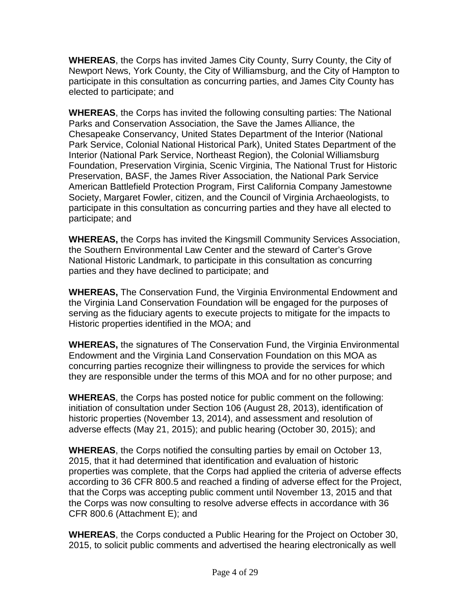**WHEREAS**, the Corps has invited James City County, Surry County, the City of Newport News, York County, the City of Williamsburg, and the City of Hampton to participate in this consultation as concurring parties, and James City County has elected to participate; and

**WHEREAS**, the Corps has invited the following consulting parties: The National Parks and Conservation Association, the Save the James Alliance, the Chesapeake Conservancy, United States Department of the Interior (National Park Service, Colonial National Historical Park), United States Department of the Interior (National Park Service, Northeast Region), the Colonial Williamsburg Foundation, Preservation Virginia, Scenic Virginia, The National Trust for Historic Preservation, BASF, the James River Association, the National Park Service American Battlefield Protection Program, First California Company Jamestowne Society, Margaret Fowler, citizen, and the Council of Virginia Archaeologists, to participate in this consultation as concurring parties and they have all elected to participate; and

**WHEREAS,** the Corps has invited the Kingsmill Community Services Association, the Southern Environmental Law Center and the steward of Carter's Grove National Historic Landmark, to participate in this consultation as concurring parties and they have declined to participate; and

**WHEREAS,** The Conservation Fund, the Virginia Environmental Endowment and the Virginia Land Conservation Foundation will be engaged for the purposes of serving as the fiduciary agents to execute projects to mitigate for the impacts to Historic properties identified in the MOA; and

**WHEREAS,** the signatures of The Conservation Fund, the Virginia Environmental Endowment and the Virginia Land Conservation Foundation on this MOA as concurring parties recognize their willingness to provide the services for which they are responsible under the terms of this MOA and for no other purpose; and

**WHEREAS**, the Corps has posted notice for public comment on the following: initiation of consultation under Section 106 (August 28, 2013), identification of historic properties (November 13, 2014), and assessment and resolution of adverse effects (May 21, 2015); and public hearing (October 30, 2015); and

**WHEREAS**, the Corps notified the consulting parties by email on October 13, 2015, that it had determined that identification and evaluation of historic properties was complete, that the Corps had applied the criteria of adverse effects according to 36 CFR 800.5 and reached a finding of adverse effect for the Project, that the Corps was accepting public comment until November 13, 2015 and that the Corps was now consulting to resolve adverse effects in accordance with 36 CFR 800.6 (Attachment E); and

**WHEREAS**, the Corps conducted a Public Hearing for the Project on October 30, 2015, to solicit public comments and advertised the hearing electronically as well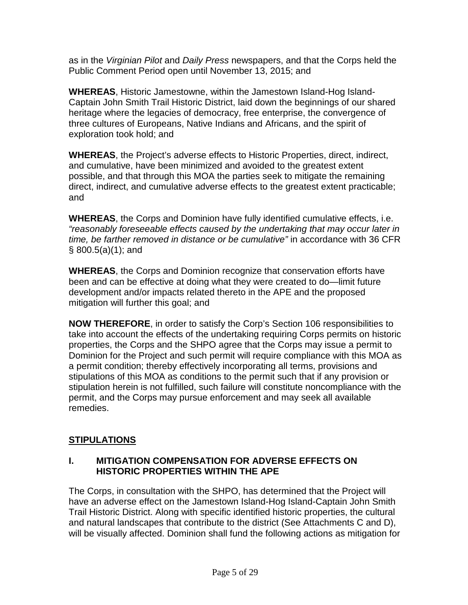as in the *Virginian Pilot* and *Daily Press* newspapers, and that the Corps held the Public Comment Period open until November 13, 2015; and

**WHEREAS**, Historic Jamestowne, within the Jamestown Island-Hog Island-Captain John Smith Trail Historic District, laid down the beginnings of our shared heritage where the legacies of democracy, free enterprise, the convergence of three cultures of Europeans, Native Indians and Africans, and the spirit of exploration took hold; and

**WHEREAS**, the Project's adverse effects to Historic Properties, direct, indirect, and cumulative, have been minimized and avoided to the greatest extent possible, and that through this MOA the parties seek to mitigate the remaining direct, indirect, and cumulative adverse effects to the greatest extent practicable; and

**WHEREAS**, the Corps and Dominion have fully identified cumulative effects, i.e. *"reasonably foreseeable effects caused by the undertaking that may occur later in time, be farther removed in distance or be cumulative"* in accordance with 36 CFR § 800.5(a)(1); and

**WHEREAS**, the Corps and Dominion recognize that conservation efforts have been and can be effective at doing what they were created to do—limit future development and/or impacts related thereto in the APE and the proposed mitigation will further this goal; and

**NOW THEREFORE**, in order to satisfy the Corp's Section 106 responsibilities to take into account the effects of the undertaking requiring Corps permits on historic properties, the Corps and the SHPO agree that the Corps may issue a permit to Dominion for the Project and such permit will require compliance with this MOA as a permit condition; thereby effectively incorporating all terms, provisions and stipulations of this MOA as conditions to the permit such that if any provision or stipulation herein is not fulfilled, such failure will constitute noncompliance with the permit, and the Corps may pursue enforcement and may seek all available remedies.

## **STIPULATIONS**

### **I. MITIGATION COMPENSATION FOR ADVERSE EFFECTS ON HISTORIC PROPERTIES WITHIN THE APE**

The Corps, in consultation with the SHPO, has determined that the Project will have an adverse effect on the Jamestown Island-Hog Island-Captain John Smith Trail Historic District. Along with specific identified historic properties, the cultural and natural landscapes that contribute to the district (See Attachments C and D), will be visually affected. Dominion shall fund the following actions as mitigation for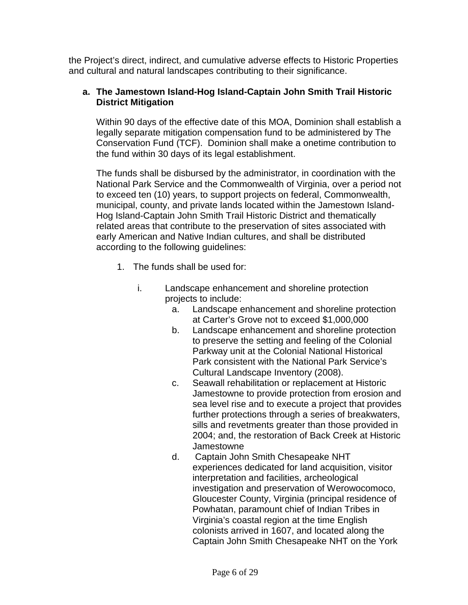the Project's direct, indirect, and cumulative adverse effects to Historic Properties and cultural and natural landscapes contributing to their significance.

### **a. The Jamestown Island-Hog Island-Captain John Smith Trail Historic District Mitigation**

Within 90 days of the effective date of this MOA, Dominion shall establish a legally separate mitigation compensation fund to be administered by The Conservation Fund (TCF). Dominion shall make a onetime contribution to the fund within 30 days of its legal establishment.

The funds shall be disbursed by the administrator, in coordination with the National Park Service and the Commonwealth of Virginia, over a period not to exceed ten (10) years, to support projects on federal, Commonwealth, municipal, county, and private lands located within the Jamestown Island-Hog Island-Captain John Smith Trail Historic District and thematically related areas that contribute to the preservation of sites associated with early American and Native Indian cultures, and shall be distributed according to the following guidelines:

- 1. The funds shall be used for:
	- i. Landscape enhancement and shoreline protection projects to include:
		- a. Landscape enhancement and shoreline protection at Carter's Grove not to exceed \$1,000,000
		- b. Landscape enhancement and shoreline protection to preserve the setting and feeling of the Colonial Parkway unit at the Colonial National Historical Park consistent with the National Park Service's Cultural Landscape Inventory (2008).
		- c. Seawall rehabilitation or replacement at Historic Jamestowne to provide protection from erosion and sea level rise and to execute a project that provides further protections through a series of breakwaters, sills and revetments greater than those provided in 2004; and, the restoration of Back Creek at Historic Jamestowne
		- d. Captain John Smith Chesapeake NHT experiences dedicated for land acquisition, visitor interpretation and facilities, archeological investigation and preservation of Werowocomoco, Gloucester County, Virginia (principal residence of Powhatan, paramount chief of Indian Tribes in Virginia's coastal region at the time English colonists arrived in 1607, and located along the Captain John Smith Chesapeake NHT on the York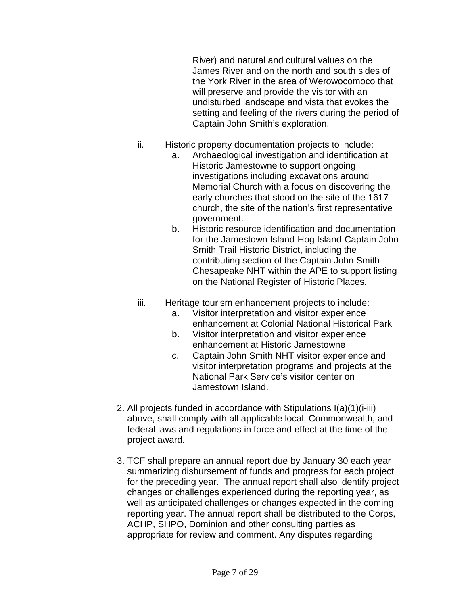River) and natural and cultural values on the James River and on the north and south sides of the York River in the area of Werowocomoco that will preserve and provide the visitor with an undisturbed landscape and vista that evokes the setting and feeling of the rivers during the period of Captain John Smith's exploration.

- ii. Historic property documentation projects to include:
	- a. Archaeological investigation and identification at Historic Jamestowne to support ongoing investigations including excavations around Memorial Church with a focus on discovering the early churches that stood on the site of the 1617 church, the site of the nation's first representative government.
	- b. Historic resource identification and documentation for the Jamestown Island-Hog Island-Captain John Smith Trail Historic District, including the contributing section of the Captain John Smith Chesapeake NHT within the APE to support listing on the National Register of Historic Places.
- iii. Heritage tourism enhancement projects to include:
	- a. Visitor interpretation and visitor experience enhancement at Colonial National Historical Park
	- b. Visitor interpretation and visitor experience enhancement at Historic Jamestowne
	- c. Captain John Smith NHT visitor experience and visitor interpretation programs and projects at the National Park Service's visitor center on Jamestown Island.
- 2. All projects funded in accordance with Stipulations I(a)(1)(i-iii) above, shall comply with all applicable local, Commonwealth, and federal laws and regulations in force and effect at the time of the project award.
- 3. TCF shall prepare an annual report due by January 30 each year summarizing disbursement of funds and progress for each project for the preceding year. The annual report shall also identify project changes or challenges experienced during the reporting year, as well as anticipated challenges or changes expected in the coming reporting year. The annual report shall be distributed to the Corps, ACHP, SHPO, Dominion and other consulting parties as appropriate for review and comment. Any disputes regarding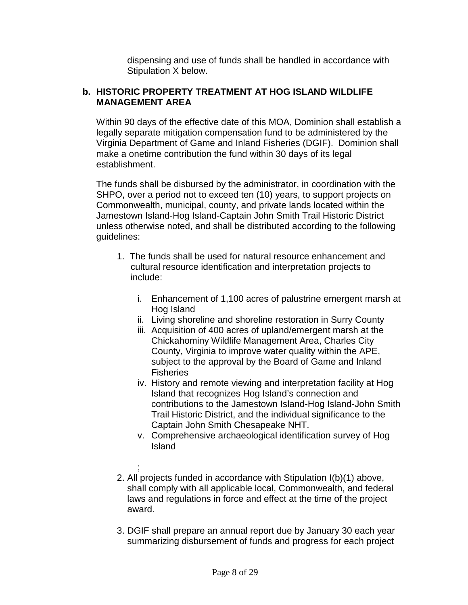dispensing and use of funds shall be handled in accordance with Stipulation X below.

#### **b. HISTORIC PROPERTY TREATMENT AT HOG ISLAND WILDLIFE MANAGEMENT AREA**

Within 90 days of the effective date of this MOA, Dominion shall establish a legally separate mitigation compensation fund to be administered by the Virginia Department of Game and Inland Fisheries (DGIF). Dominion shall make a onetime contribution the fund within 30 days of its legal establishment.

The funds shall be disbursed by the administrator, in coordination with the SHPO, over a period not to exceed ten (10) years, to support projects on Commonwealth, municipal, county, and private lands located within the Jamestown Island-Hog Island-Captain John Smith Trail Historic District unless otherwise noted, and shall be distributed according to the following guidelines:

- 1. The funds shall be used for natural resource enhancement and cultural resource identification and interpretation projects to include:
	- i. Enhancement of 1,100 acres of palustrine emergent marsh at Hog Island
	- ii. Living shoreline and shoreline restoration in Surry County
	- iii. Acquisition of 400 acres of upland/emergent marsh at the Chickahominy Wildlife Management Area, Charles City County, Virginia to improve water quality within the APE, subject to the approval by the Board of Game and Inland **Fisheries**
	- iv. History and remote viewing and interpretation facility at Hog Island that recognizes Hog Island's connection and contributions to the Jamestown Island-Hog Island-John Smith Trail Historic District, and the individual significance to the Captain John Smith Chesapeake NHT.
	- v. Comprehensive archaeological identification survey of Hog Island
- ; 2. All projects funded in accordance with Stipulation I(b)(1) above, shall comply with all applicable local, Commonwealth, and federal laws and regulations in force and effect at the time of the project award.
- 3. DGIF shall prepare an annual report due by January 30 each year summarizing disbursement of funds and progress for each project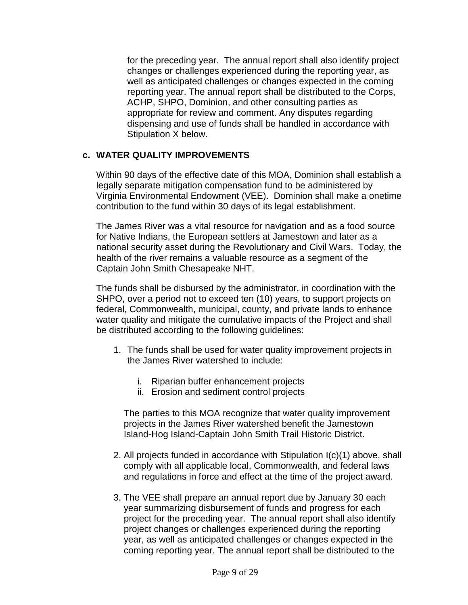for the preceding year. The annual report shall also identify project changes or challenges experienced during the reporting year, as well as anticipated challenges or changes expected in the coming reporting year. The annual report shall be distributed to the Corps, ACHP, SHPO, Dominion, and other consulting parties as appropriate for review and comment. Any disputes regarding dispensing and use of funds shall be handled in accordance with Stipulation X below.

### **c. WATER QUALITY IMPROVEMENTS**

Within 90 days of the effective date of this MOA, Dominion shall establish a legally separate mitigation compensation fund to be administered by Virginia Environmental Endowment (VEE). Dominion shall make a onetime contribution to the fund within 30 days of its legal establishment.

The James River was a vital resource for navigation and as a food source for Native Indians, the European settlers at Jamestown and later as a national security asset during the Revolutionary and Civil Wars. Today, the health of the river remains a valuable resource as a segment of the Captain John Smith Chesapeake NHT.

The funds shall be disbursed by the administrator, in coordination with the SHPO, over a period not to exceed ten (10) years, to support projects on federal, Commonwealth, municipal, county, and private lands to enhance water quality and mitigate the cumulative impacts of the Project and shall be distributed according to the following guidelines:

- 1. The funds shall be used for water quality improvement projects in the James River watershed to include:
	- i. Riparian buffer enhancement projects
	- ii. Erosion and sediment control projects

The parties to this MOA recognize that water quality improvement projects in the James River watershed benefit the Jamestown Island-Hog Island-Captain John Smith Trail Historic District.

- 2. All projects funded in accordance with Stipulation I(c)(1) above, shall comply with all applicable local, Commonwealth, and federal laws and regulations in force and effect at the time of the project award.
- 3. The VEE shall prepare an annual report due by January 30 each year summarizing disbursement of funds and progress for each project for the preceding year. The annual report shall also identify project changes or challenges experienced during the reporting year, as well as anticipated challenges or changes expected in the coming reporting year. The annual report shall be distributed to the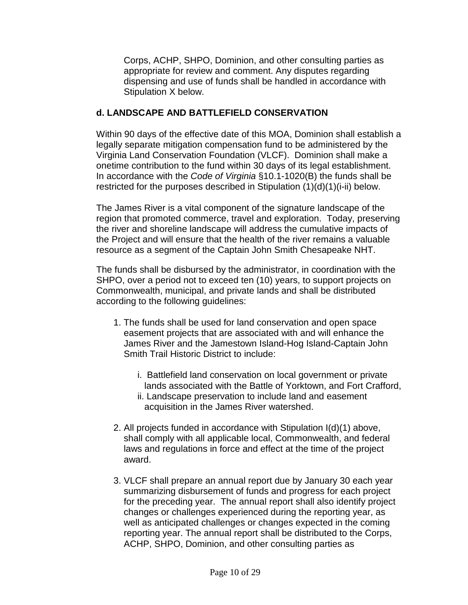Corps, ACHP, SHPO, Dominion, and other consulting parties as appropriate for review and comment. Any disputes regarding dispensing and use of funds shall be handled in accordance with Stipulation X below.

## **d. LANDSCAPE AND BATTLEFIELD CONSERVATION**

Within 90 days of the effective date of this MOA, Dominion shall establish a legally separate mitigation compensation fund to be administered by the Virginia Land Conservation Foundation (VLCF). Dominion shall make a onetime contribution to the fund within 30 days of its legal establishment. In accordance with the *Code of Virginia* §10.1-1020(B) the funds shall be restricted for the purposes described in Stipulation  $(1)(d)(1)(i-ii)$  below.

The James River is a vital component of the signature landscape of the region that promoted commerce, travel and exploration. Today, preserving the river and shoreline landscape will address the cumulative impacts of the Project and will ensure that the health of the river remains a valuable resource as a segment of the Captain John Smith Chesapeake NHT.

The funds shall be disbursed by the administrator, in coordination with the SHPO, over a period not to exceed ten (10) years, to support projects on Commonwealth, municipal, and private lands and shall be distributed according to the following guidelines:

- 1. The funds shall be used for land conservation and open space easement projects that are associated with and will enhance the James River and the Jamestown Island-Hog Island-Captain John Smith Trail Historic District to include:
	- i. Battlefield land conservation on local government or private lands associated with the Battle of Yorktown, and Fort Crafford,
	- ii. Landscape preservation to include land and easement acquisition in the James River watershed.
- 2. All projects funded in accordance with Stipulation I(d)(1) above, shall comply with all applicable local, Commonwealth, and federal laws and regulations in force and effect at the time of the project award.
- 3. VLCF shall prepare an annual report due by January 30 each year summarizing disbursement of funds and progress for each project for the preceding year. The annual report shall also identify project changes or challenges experienced during the reporting year, as well as anticipated challenges or changes expected in the coming reporting year. The annual report shall be distributed to the Corps, ACHP, SHPO, Dominion, and other consulting parties as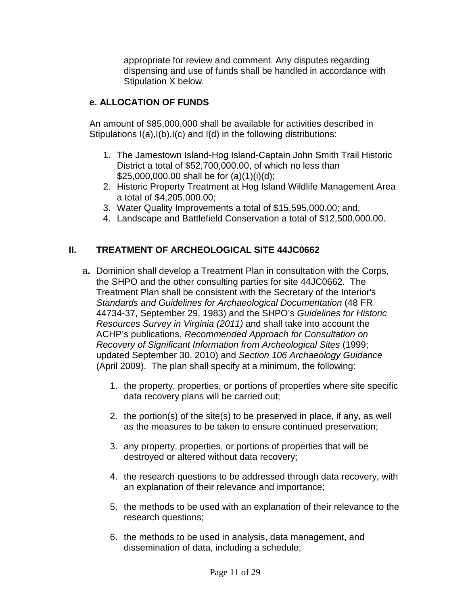appropriate for review and comment. Any disputes regarding dispensing and use of funds shall be handled in accordance with Stipulation X below.

## **e. ALLOCATION OF FUNDS**

An amount of \$85,000,000 shall be available for activities described in Stipulations I(a),I(b),I(c) and I(d) in the following distributions:

- 1. The Jamestown Island-Hog Island-Captain John Smith Trail Historic District a total of \$52,700,000.00, of which no less than \$25,000,000.00 shall be for (a)(1)(i)(d);
- 2. Historic Property Treatment at Hog Island Wildlife Management Area a total of \$4,205,000.00;
- 3. Water Quality Improvements a total of \$15,595,000.00; and,
- 4. Landscape and Battlefield Conservation a total of \$12,500,000.00.

## **II. TREATMENT OF ARCHEOLOGICAL SITE 44JC0662**

- a**.** Dominion shall develop a Treatment Plan in consultation with the Corps, the SHPO and the other consulting parties for site 44JC0662. The Treatment Plan shall be consistent with the Secretary of the Interior's *Standards and Guidelines for Archaeological Documentation* (48 FR 44734-37, September 29, 1983) and the SHPO's *Guidelines for Historic Resources Survey in Virginia (2011)* and shall take into account the ACHP's publications, *Recommended Approach for Consultation on Recovery of Significant Information from Archeological Sites* (1999; updated September 30, 2010) and *Section 106 Archaeology Guidance* (April 2009). The plan shall specify at a minimum, the following:
	- 1. the property, properties, or portions of properties where site specific data recovery plans will be carried out;
	- 2. the portion(s) of the site(s) to be preserved in place, if any, as well as the measures to be taken to ensure continued preservation;
	- 3. any property, properties, or portions of properties that will be destroyed or altered without data recovery;
	- 4. the research questions to be addressed through data recovery, with an explanation of their relevance and importance;
	- 5. the methods to be used with an explanation of their relevance to the research questions;
	- 6. the methods to be used in analysis, data management, and dissemination of data, including a schedule;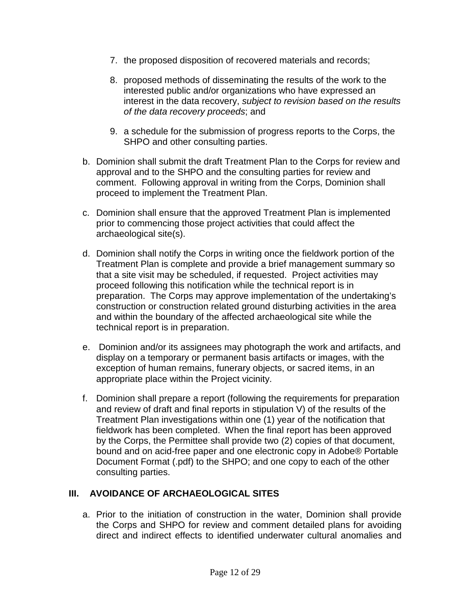- 7. the proposed disposition of recovered materials and records;
- 8. proposed methods of disseminating the results of the work to the interested public and/or organizations who have expressed an interest in the data recovery, *subject to revision based on the results of the data recovery proceeds*; and
- 9. a schedule for the submission of progress reports to the Corps, the SHPO and other consulting parties.
- b. Dominion shall submit the draft Treatment Plan to the Corps for review and approval and to the SHPO and the consulting parties for review and comment. Following approval in writing from the Corps, Dominion shall proceed to implement the Treatment Plan.
- c. Dominion shall ensure that the approved Treatment Plan is implemented prior to commencing those project activities that could affect the archaeological site(s).
- d. Dominion shall notify the Corps in writing once the fieldwork portion of the Treatment Plan is complete and provide a brief management summary so that a site visit may be scheduled, if requested. Project activities may proceed following this notification while the technical report is in preparation. The Corps may approve implementation of the undertaking's construction or construction related ground disturbing activities in the area and within the boundary of the affected archaeological site while the technical report is in preparation.
- e. Dominion and/or its assignees may photograph the work and artifacts, and display on a temporary or permanent basis artifacts or images, with the exception of human remains, funerary objects, or sacred items, in an appropriate place within the Project vicinity.
- f. Dominion shall prepare a report (following the requirements for preparation and review of draft and final reports in stipulation V) of the results of the Treatment Plan investigations within one (1) year of the notification that fieldwork has been completed. When the final report has been approved by the Corps, the Permittee shall provide two (2) copies of that document, bound and on acid-free paper and one electronic copy in Adobe® Portable Document Format (.pdf) to the SHPO; and one copy to each of the other consulting parties.

## **III. AVOIDANCE OF ARCHAEOLOGICAL SITES**

a. Prior to the initiation of construction in the water, Dominion shall provide the Corps and SHPO for review and comment detailed plans for avoiding direct and indirect effects to identified underwater cultural anomalies and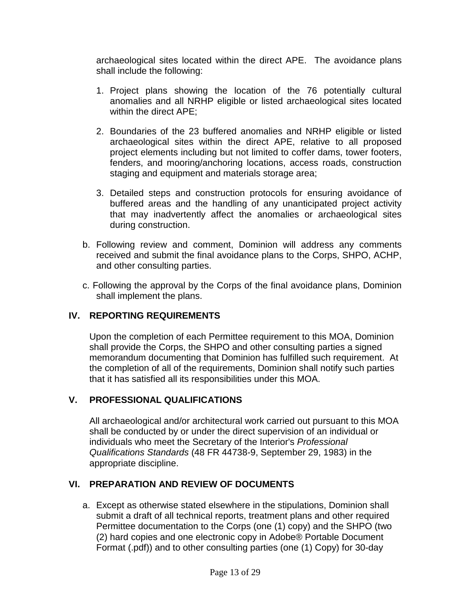archaeological sites located within the direct APE. The avoidance plans shall include the following:

- 1. Project plans showing the location of the 76 potentially cultural anomalies and all NRHP eligible or listed archaeological sites located within the direct APE;
- 2. Boundaries of the 23 buffered anomalies and NRHP eligible or listed archaeological sites within the direct APE, relative to all proposed project elements including but not limited to coffer dams, tower footers, fenders, and mooring/anchoring locations, access roads, construction staging and equipment and materials storage area;
- 3. Detailed steps and construction protocols for ensuring avoidance of buffered areas and the handling of any unanticipated project activity that may inadvertently affect the anomalies or archaeological sites during construction.
- b. Following review and comment, Dominion will address any comments received and submit the final avoidance plans to the Corps, SHPO, ACHP, and other consulting parties.
- c. Following the approval by the Corps of the final avoidance plans, Dominion shall implement the plans.

## **IV. REPORTING REQUIREMENTS**

Upon the completion of each Permittee requirement to this MOA, Dominion shall provide the Corps, the SHPO and other consulting parties a signed memorandum documenting that Dominion has fulfilled such requirement. At the completion of all of the requirements, Dominion shall notify such parties that it has satisfied all its responsibilities under this MOA.

## **V. PROFESSIONAL QUALIFICATIONS**

All archaeological and/or architectural work carried out pursuant to this MOA shall be conducted by or under the direct supervision of an individual or individuals who meet the Secretary of the Interior's *Professional Qualifications Standards* (48 FR 44738-9, September 29, 1983) in the appropriate discipline.

## **VI. PREPARATION AND REVIEW OF DOCUMENTS**

a. Except as otherwise stated elsewhere in the stipulations, Dominion shall submit a draft of all technical reports, treatment plans and other required Permittee documentation to the Corps (one (1) copy) and the SHPO (two (2) hard copies and one electronic copy in Adobe® Portable Document Format (.pdf)) and to other consulting parties (one (1) Copy) for 30-day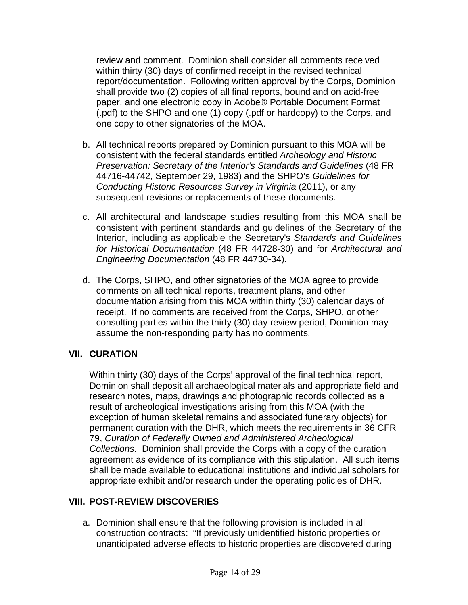review and comment. Dominion shall consider all comments received within thirty (30) days of confirmed receipt in the revised technical report/documentation. Following written approval by the Corps, Dominion shall provide two (2) copies of all final reports, bound and on acid-free paper, and one electronic copy in Adobe® Portable Document Format (.pdf) to the SHPO and one (1) copy (.pdf or hardcopy) to the Corps, and one copy to other signatories of the MOA.

- b. All technical reports prepared by Dominion pursuant to this MOA will be consistent with the federal standards entitled *Archeology and Historic Preservation: Secretary of the Interior's Standards and Guidelines* (48 FR 44716-44742, September 29, 1983) and the SHPO's *Guidelines for Conducting Historic Resources Survey in Virginia* (2011), or any subsequent revisions or replacements of these documents.
- c. All architectural and landscape studies resulting from this MOA shall be consistent with pertinent standards and guidelines of the Secretary of the Interior, including as applicable the Secretary's *Standards and Guidelines for Historical Documentation* (48 FR 44728-30) and for *Architectural and Engineering Documentation* (48 FR 44730-34).
- d. The Corps, SHPO, and other signatories of the MOA agree to provide comments on all technical reports, treatment plans, and other documentation arising from this MOA within thirty (30) calendar days of receipt. If no comments are received from the Corps, SHPO, or other consulting parties within the thirty (30) day review period, Dominion may assume the non-responding party has no comments.

## **VII. CURATION**

Within thirty (30) days of the Corps' approval of the final technical report, Dominion shall deposit all archaeological materials and appropriate field and research notes, maps, drawings and photographic records collected as a result of archeological investigations arising from this MOA (with the exception of human skeletal remains and associated funerary objects) for permanent curation with the DHR, which meets the requirements in 36 CFR 79, *Curation of Federally Owned and Administered Archeological Collections*. Dominion shall provide the Corps with a copy of the curation agreement as evidence of its compliance with this stipulation. All such items shall be made available to educational institutions and individual scholars for appropriate exhibit and/or research under the operating policies of DHR.

## **VIII. POST-REVIEW DISCOVERIES**

a. Dominion shall ensure that the following provision is included in all construction contracts: "If previously unidentified historic properties or unanticipated adverse effects to historic properties are discovered during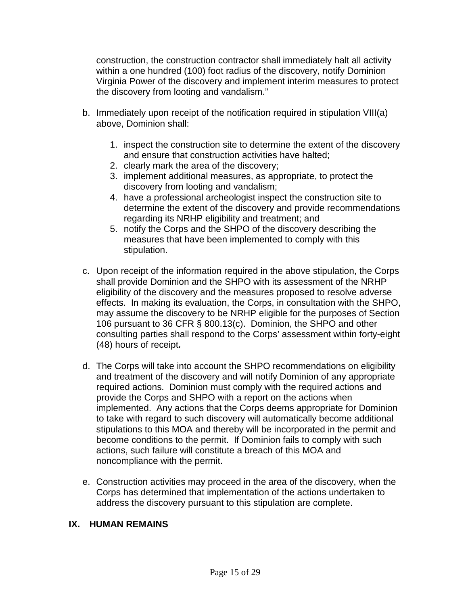construction, the construction contractor shall immediately halt all activity within a one hundred (100) foot radius of the discovery, notify Dominion Virginia Power of the discovery and implement interim measures to protect the discovery from looting and vandalism."

- b. Immediately upon receipt of the notification required in stipulation VIII(a) above, Dominion shall:
	- 1. inspect the construction site to determine the extent of the discovery and ensure that construction activities have halted;
	- 2. clearly mark the area of the discovery;
	- 3. implement additional measures, as appropriate, to protect the discovery from looting and vandalism;
	- 4. have a professional archeologist inspect the construction site to determine the extent of the discovery and provide recommendations regarding its NRHP eligibility and treatment; and
	- 5. notify the Corps and the SHPO of the discovery describing the measures that have been implemented to comply with this stipulation.
- c. Upon receipt of the information required in the above stipulation, the Corps shall provide Dominion and the SHPO with its assessment of the NRHP eligibility of the discovery and the measures proposed to resolve adverse effects. In making its evaluation, the Corps, in consultation with the SHPO, may assume the discovery to be NRHP eligible for the purposes of Section 106 pursuant to 36 CFR § 800.13(c). Dominion, the SHPO and other consulting parties shall respond to the Corps' assessment within forty-eight (48) hours of receipt*.*
- d. The Corps will take into account the SHPO recommendations on eligibility and treatment of the discovery and will notify Dominion of any appropriate required actions. Dominion must comply with the required actions and provide the Corps and SHPO with a report on the actions when implemented. Any actions that the Corps deems appropriate for Dominion to take with regard to such discovery will automatically become additional stipulations to this MOA and thereby will be incorporated in the permit and become conditions to the permit. If Dominion fails to comply with such actions, such failure will constitute a breach of this MOA and noncompliance with the permit.
- e. Construction activities may proceed in the area of the discovery, when the Corps has determined that implementation of the actions undertaken to address the discovery pursuant to this stipulation are complete.

#### **IX. HUMAN REMAINS**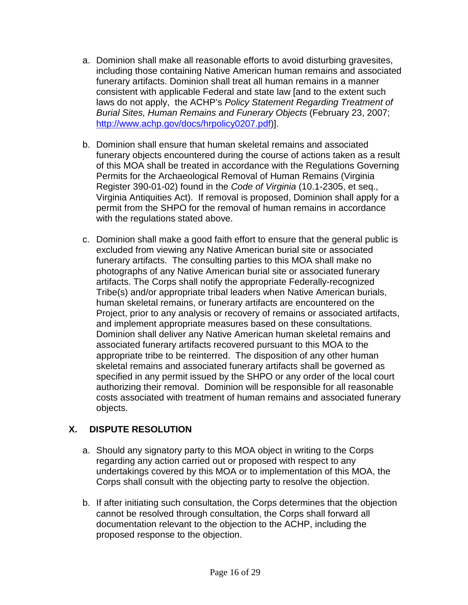- a. Dominion shall make all reasonable efforts to avoid disturbing gravesites, including those containing Native American human remains and associated funerary artifacts. Dominion shall treat all human remains in a manner consistent with applicable Federal and state law [and to the extent such laws do not apply, the ACHP's *Policy Statement Regarding Treatment of Burial Sites, Human Remains and Funerary Objects* (February 23, 2007; [http://www.achp.gov/docs/hrpolicy0207.pdf\)](http://www.achp.gov/docs/hrpolicy0207.pdf)].
- b. Dominion shall ensure that human skeletal remains and associated funerary objects encountered during the course of actions taken as a result of this MOA shall be treated in accordance with the Regulations Governing Permits for the Archaeological Removal of Human Remains (Virginia Register 390-01-02) found in the *Code of Virginia* (10.1-2305, et seq., Virginia Antiquities Act). If removal is proposed, Dominion shall apply for a permit from the SHPO for the removal of human remains in accordance with the regulations stated above.
- c. Dominion shall make a good faith effort to ensure that the general public is excluded from viewing any Native American burial site or associated funerary artifacts. The consulting parties to this MOA shall make no photographs of any Native American burial site or associated funerary artifacts. The Corps shall notify the appropriate Federally-recognized Tribe(s) and/or appropriate tribal leaders when Native American burials, human skeletal remains, or funerary artifacts are encountered on the Project, prior to any analysis or recovery of remains or associated artifacts, and implement appropriate measures based on these consultations. Dominion shall deliver any Native American human skeletal remains and associated funerary artifacts recovered pursuant to this MOA to the appropriate tribe to be reinterred. The disposition of any other human skeletal remains and associated funerary artifacts shall be governed as specified in any permit issued by the SHPO or any order of the local court authorizing their removal. Dominion will be responsible for all reasonable costs associated with treatment of human remains and associated funerary objects.

## **X. DISPUTE RESOLUTION**

- a. Should any signatory party to this MOA object in writing to the Corps regarding any action carried out or proposed with respect to any undertakings covered by this MOA or to implementation of this MOA, the Corps shall consult with the objecting party to resolve the objection.
- b. If after initiating such consultation, the Corps determines that the objection cannot be resolved through consultation, the Corps shall forward all documentation relevant to the objection to the ACHP, including the proposed response to the objection.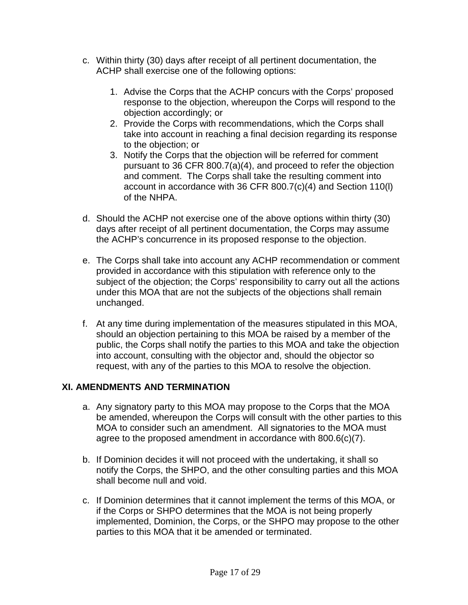- c. Within thirty (30) days after receipt of all pertinent documentation, the ACHP shall exercise one of the following options:
	- 1. Advise the Corps that the ACHP concurs with the Corps' proposed response to the objection, whereupon the Corps will respond to the objection accordingly; or
	- 2. Provide the Corps with recommendations, which the Corps shall take into account in reaching a final decision regarding its response to the objection; or
	- 3. Notify the Corps that the objection will be referred for comment pursuant to 36 CFR 800.7(a)(4), and proceed to refer the objection and comment. The Corps shall take the resulting comment into account in accordance with 36 CFR 800.7(c)(4) and Section 110(l) of the NHPA.
- d. Should the ACHP not exercise one of the above options within thirty (30) days after receipt of all pertinent documentation, the Corps may assume the ACHP's concurrence in its proposed response to the objection.
- e. The Corps shall take into account any ACHP recommendation or comment provided in accordance with this stipulation with reference only to the subject of the objection; the Corps' responsibility to carry out all the actions under this MOA that are not the subjects of the objections shall remain unchanged.
- f. At any time during implementation of the measures stipulated in this MOA, should an objection pertaining to this MOA be raised by a member of the public, the Corps shall notify the parties to this MOA and take the objection into account, consulting with the objector and, should the objector so request, with any of the parties to this MOA to resolve the objection.

## **XI. AMENDMENTS AND TERMINATION**

- a. Any signatory party to this MOA may propose to the Corps that the MOA be amended, whereupon the Corps will consult with the other parties to this MOA to consider such an amendment. All signatories to the MOA must agree to the proposed amendment in accordance with 800.6(c)(7).
- b. If Dominion decides it will not proceed with the undertaking, it shall so notify the Corps, the SHPO, and the other consulting parties and this MOA shall become null and void.
- c. If Dominion determines that it cannot implement the terms of this MOA, or if the Corps or SHPO determines that the MOA is not being properly implemented, Dominion, the Corps, or the SHPO may propose to the other parties to this MOA that it be amended or terminated.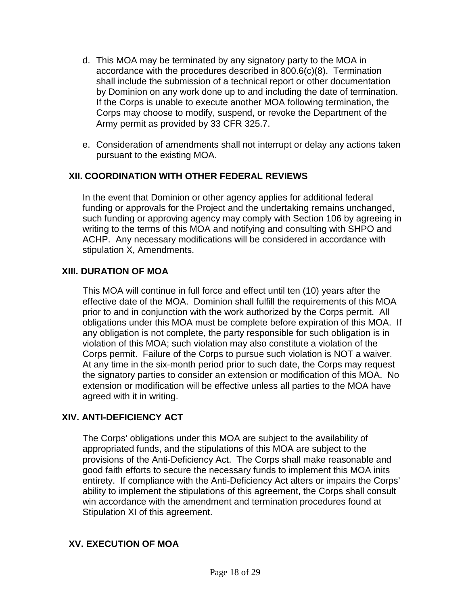- d. This MOA may be terminated by any signatory party to the MOA in accordance with the procedures described in 800.6(c)(8). Termination shall include the submission of a technical report or other documentation by Dominion on any work done up to and including the date of termination. If the Corps is unable to execute another MOA following termination, the Corps may choose to modify, suspend, or revoke the Department of the Army permit as provided by 33 CFR 325.7.
- e. Consideration of amendments shall not interrupt or delay any actions taken pursuant to the existing MOA.

## **XII. COORDINATION WITH OTHER FEDERAL REVIEWS**

In the event that Dominion or other agency applies for additional federal funding or approvals for the Project and the undertaking remains unchanged, such funding or approving agency may comply with Section 106 by agreeing in writing to the terms of this MOA and notifying and consulting with SHPO and ACHP. Any necessary modifications will be considered in accordance with stipulation X, Amendments.

### **XIII. DURATION OF MOA**

This MOA will continue in full force and effect until ten (10) years after the effective date of the MOA. Dominion shall fulfill the requirements of this MOA prior to and in conjunction with the work authorized by the Corps permit. All obligations under this MOA must be complete before expiration of this MOA. If any obligation is not complete, the party responsible for such obligation is in violation of this MOA; such violation may also constitute a violation of the Corps permit. Failure of the Corps to pursue such violation is NOT a waiver. At any time in the six-month period prior to such date, the Corps may request the signatory parties to consider an extension or modification of this MOA. No extension or modification will be effective unless all parties to the MOA have agreed with it in writing.

## **XIV. ANTI-DEFICIENCY ACT**

The Corps' obligations under this MOA are subject to the availability of appropriated funds, and the stipulations of this MOA are subject to the provisions of the Anti-Deficiency Act. The Corps shall make reasonable and good faith efforts to secure the necessary funds to implement this MOA inits entirety. If compliance with the Anti-Deficiency Act alters or impairs the Corps' ability to implement the stipulations of this agreement, the Corps shall consult win accordance with the amendment and termination procedures found at Stipulation XI of this agreement.

#### **XV. EXECUTION OF MOA**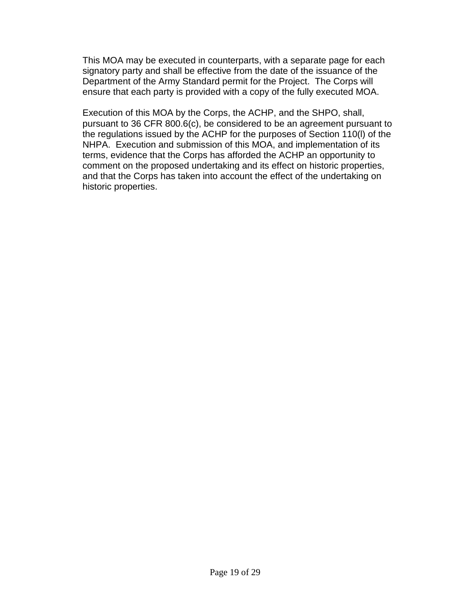This MOA may be executed in counterparts, with a separate page for each signatory party and shall be effective from the date of the issuance of the Department of the Army Standard permit for the Project. The Corps will ensure that each party is provided with a copy of the fully executed MOA.

Execution of this MOA by the Corps, the ACHP, and the SHPO, shall, pursuant to 36 CFR 800.6(c), be considered to be an agreement pursuant to the regulations issued by the ACHP for the purposes of Section 110(l) of the NHPA. Execution and submission of this MOA, and implementation of its terms, evidence that the Corps has afforded the ACHP an opportunity to comment on the proposed undertaking and its effect on historic properties, and that the Corps has taken into account the effect of the undertaking on historic properties.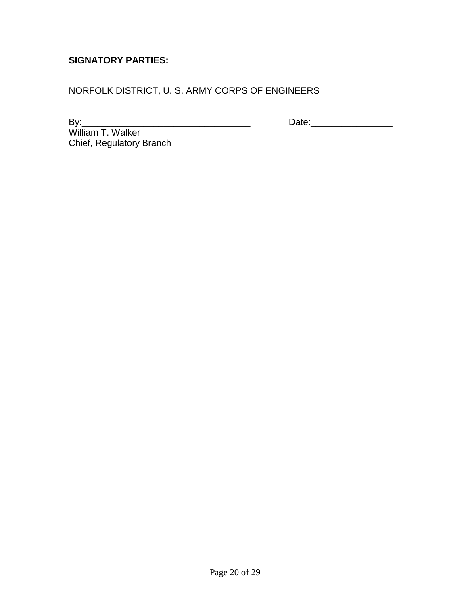## **SIGNATORY PARTIES:**

NORFOLK DISTRICT, U. S. ARMY CORPS OF ENGINEERS

By:\_\_\_\_\_\_\_\_\_\_\_\_\_\_\_\_\_\_\_\_\_\_\_\_\_\_\_\_\_\_\_\_\_ Date:\_\_\_\_\_\_\_\_\_\_\_\_\_\_\_\_

William T. Walker Chief, Regulatory Branch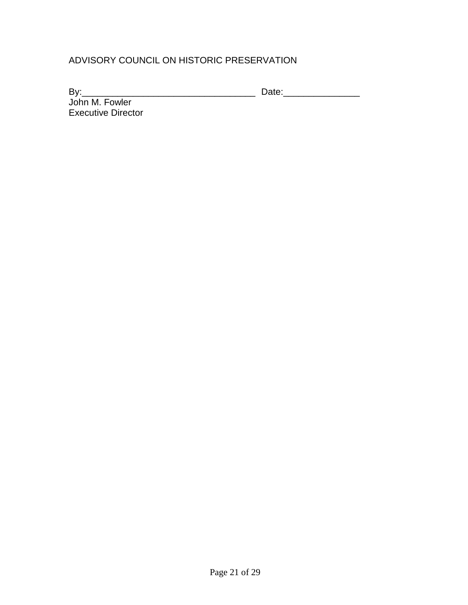## ADVISORY COUNCIL ON HISTORIC PRESERVATION

By:\_\_\_\_\_\_\_\_\_\_\_\_\_\_\_\_\_\_\_\_\_\_\_\_\_\_\_\_\_\_\_\_\_\_ Date:\_\_\_\_\_\_\_\_\_\_\_\_\_\_\_

John M. Fowler Executive Director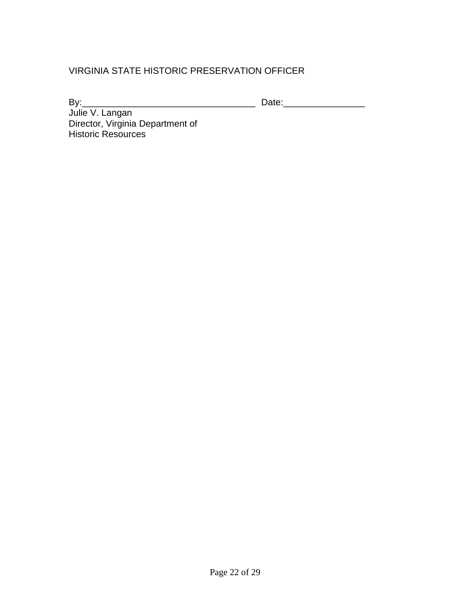## VIRGINIA STATE HISTORIC PRESERVATION OFFICER

By:\_\_\_\_\_\_\_\_\_\_\_\_\_\_\_\_\_\_\_\_\_\_\_\_\_\_\_\_\_\_\_\_\_\_ Date:\_\_\_\_\_\_\_\_\_\_\_\_\_\_\_\_

Julie V. Langan Director, Virginia Department of Historic Resources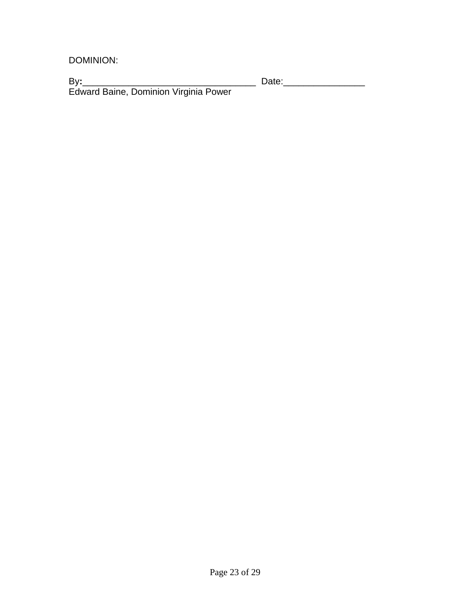DOMINION:

By**:**\_\_\_\_\_\_\_\_\_\_\_\_\_\_\_\_\_\_\_\_\_\_\_\_\_\_\_\_\_\_\_\_\_\_ Date:\_\_\_\_\_\_\_\_\_\_\_\_\_\_\_\_ Edward Baine, Dominion Virginia Power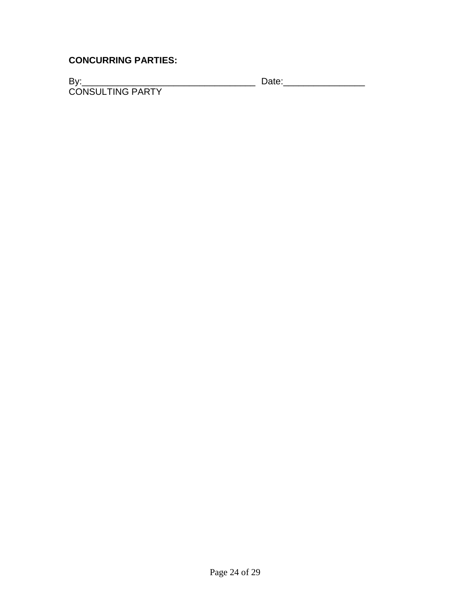## **CONCURRING PARTIES:**

By:\_\_\_\_\_\_\_\_\_\_\_\_\_\_\_\_\_\_\_\_\_\_\_\_\_\_\_\_\_\_\_\_\_\_ Date:\_\_\_\_\_\_\_\_\_\_\_\_\_\_\_\_ CONSULTING PARTY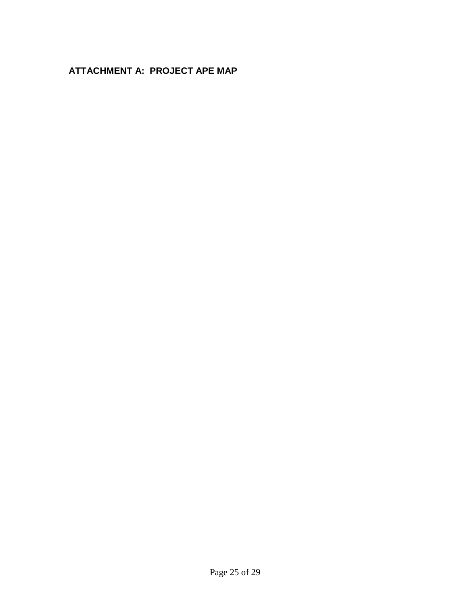# **ATTACHMENT A: PROJECT APE MAP**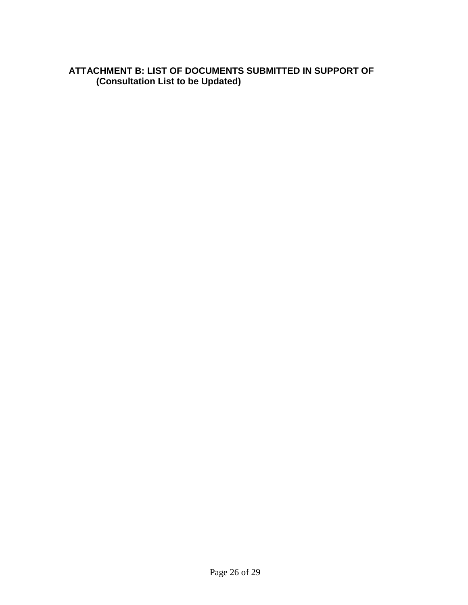## **ATTACHMENT B: LIST OF DOCUMENTS SUBMITTED IN SUPPORT OF (Consultation List to be Updated)**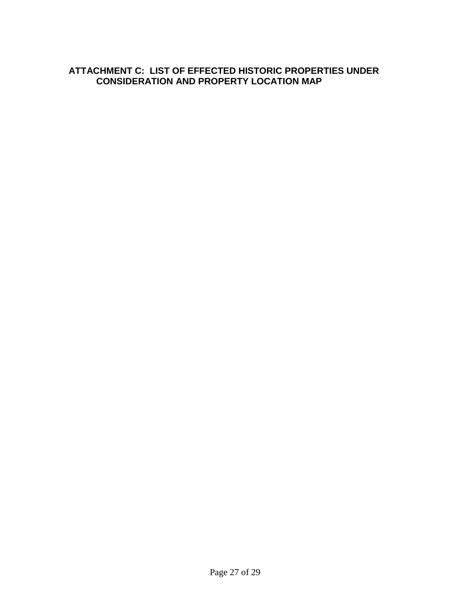## **ATTACHMENT C: LIST OF EFFECTED HISTORIC PROPERTIES UNDER CONSIDERATION AND PROPERTY LOCATION MAP**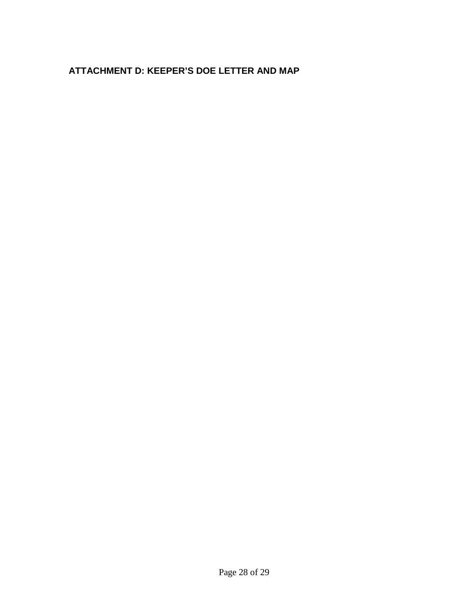## **ATTACHMENT D: KEEPER'S DOE LETTER AND MAP**